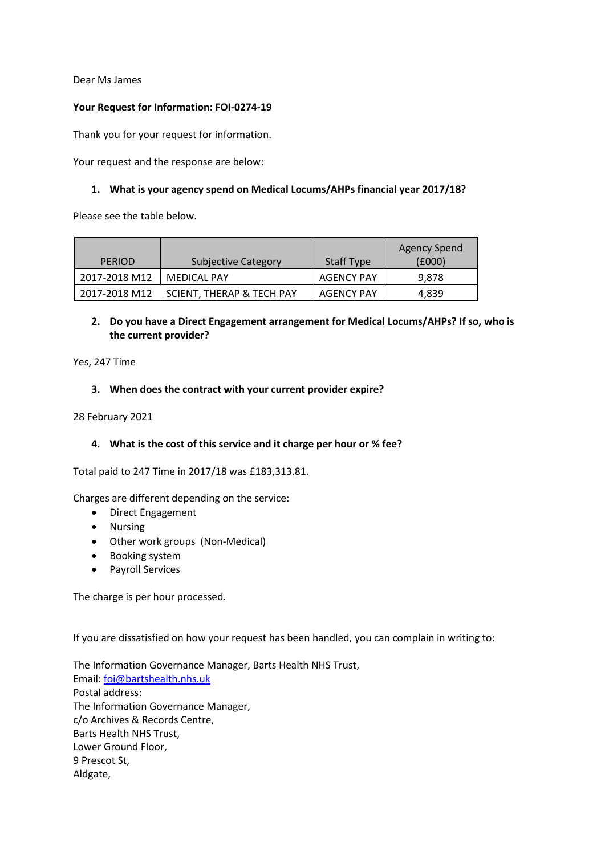Dear Ms James

### **Your Request for Information: FOI-0274-19**

Thank you for your request for information.

Your request and the response are below:

### **1. What is your agency spend on Medical Locums/AHPs financial year 2017/18?**

Please see the table below.

|               |                            |                   | Agency Spend |
|---------------|----------------------------|-------------------|--------------|
| <b>PERIOD</b> | <b>Subjective Category</b> | <b>Staff Type</b> | (£000)       |
| 2017-2018 M12 | <b>MEDICAL PAY</b>         | <b>AGENCY PAY</b> | 9,878        |
| 2017-2018 M12 | SCIENT, THERAP & TECH PAY  | AGENCY PAY        | 4,839        |

# **2. Do you have a Direct Engagement arrangement for Medical Locums/AHPs? If so, who is the current provider?**

Yes, 247 Time

### **3. When does the contract with your current provider expire?**

28 February 2021

### **4. What is the cost of this service and it charge per hour or % fee?**

Total paid to 247 Time in 2017/18 was £183,313.81.

Charges are different depending on the service:

- Direct Engagement
- Nursing
- Other work groups (Non-Medical)
- Booking system
- Payroll Services

The charge is per hour processed.

If you are dissatisfied on how your request has been handled, you can complain in writing to:

The Information Governance Manager, Barts Health NHS Trust, Email: [foi@bartshealth.nhs.uk](mailto:xxx@xxxxxxxxxxx.xxx.xx) Postal address: The Information Governance Manager, c/o Archives & Records Centre, Barts Health NHS Trust, Lower Ground Floor, 9 Prescot St, Aldgate,